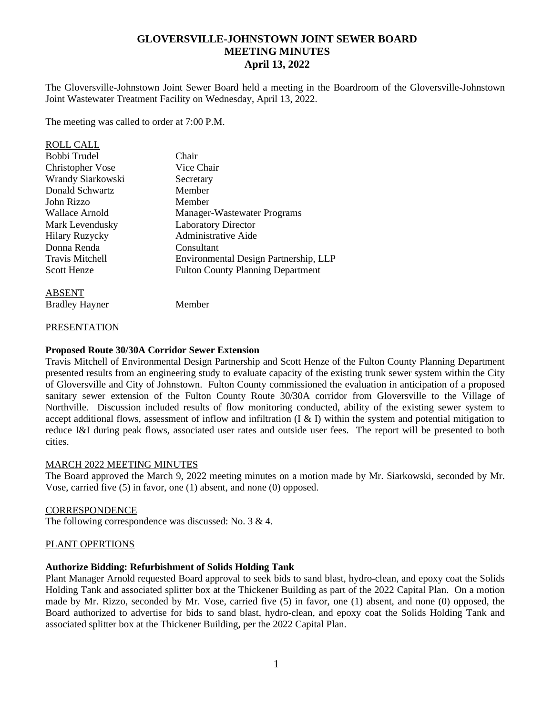# **GLOVERSVILLE-JOHNSTOWN JOINT SEWER BOARD MEETING MINUTES April 13, 2022**

The Gloversville-Johnstown Joint Sewer Board held a meeting in the Boardroom of the Gloversville-Johnstown Joint Wastewater Treatment Facility on Wednesday, April 13, 2022.

The meeting was called to order at 7:00 P.M.

| <b>ROLL CALL</b>       |                                          |
|------------------------|------------------------------------------|
| Bobbi Trudel           | Chair                                    |
| Christopher Vose       | Vice Chair                               |
| Wrandy Siarkowski      | Secretary                                |
| Donald Schwartz        | Member                                   |
| John Rizzo             | Member                                   |
| Wallace Arnold         | Manager-Wastewater Programs              |
| Mark Levendusky        | <b>Laboratory Director</b>               |
| <b>Hilary Ruzycky</b>  | <b>Administrative Aide</b>               |
| Donna Renda            | Consultant                               |
| <b>Travis Mitchell</b> | Environmental Design Partnership, LLP    |
| <b>Scott Henze</b>     | <b>Fulton County Planning Department</b> |
|                        |                                          |

ABSENT

Bradley Hayner Member

#### **PRESENTATION**

### **Proposed Route 30/30A Corridor Sewer Extension**

Travis Mitchell of Environmental Design Partnership and Scott Henze of the Fulton County Planning Department presented results from an engineering study to evaluate capacity of the existing trunk sewer system within the City of Gloversville and City of Johnstown. Fulton County commissioned the evaluation in anticipation of a proposed sanitary sewer extension of the Fulton County Route 30/30A corridor from Gloversville to the Village of Northville. Discussion included results of flow monitoring conducted, ability of the existing sewer system to accept additional flows, assessment of inflow and infiltration (I & I) within the system and potential mitigation to reduce I&I during peak flows, associated user rates and outside user fees. The report will be presented to both cities.

# MARCH 2022 MEETING MINUTES

The Board approved the March 9, 2022 meeting minutes on a motion made by Mr. Siarkowski, seconded by Mr. Vose, carried five (5) in favor, one (1) absent, and none (0) opposed.

#### **CORRESPONDENCE**

The following correspondence was discussed: No. 3 & 4.

# PLANT OPERTIONS

# **Authorize Bidding: Refurbishment of Solids Holding Tank**

Plant Manager Arnold requested Board approval to seek bids to sand blast, hydro-clean, and epoxy coat the Solids Holding Tank and associated splitter box at the Thickener Building as part of the 2022 Capital Plan. On a motion made by Mr. Rizzo, seconded by Mr. Vose, carried five (5) in favor, one (1) absent, and none (0) opposed, the Board authorized to advertise for bids to sand blast, hydro-clean, and epoxy coat the Solids Holding Tank and associated splitter box at the Thickener Building, per the 2022 Capital Plan.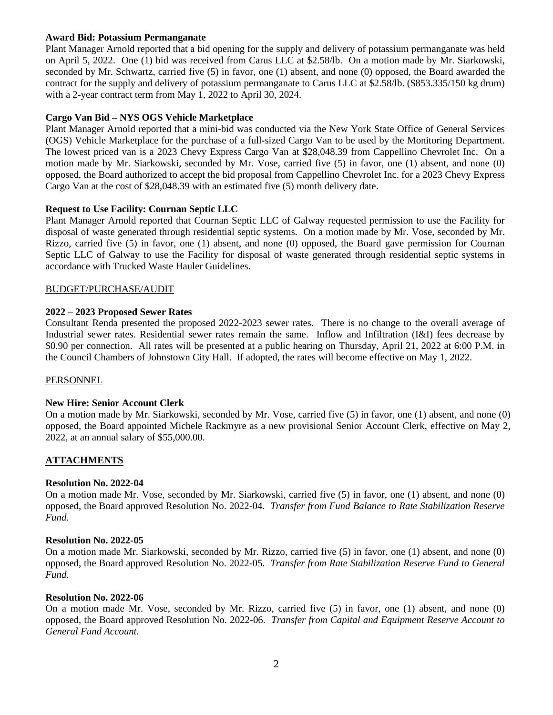# **Award Bid: Potassium Permanganate**

Plant Manager Arnold reported that a bid opening for the supply and delivery of potassium permanganate was held on April 5, 2022. One (1) bid was received from Carus LLC at \$2.58/lb. On a motion made by Mr. Siarkowski, seconded by Mr. Schwartz, carried five (5) in favor, one (1) absent, and none (0) opposed, the Board awarded the contract for the supply and delivery of potassium permanganate to Carus LLC at \$2.58/lb. (\$853.335/150 kg drum) with a 2-year contract term from May 1, 2022 to April 30, 2024.

# **Cargo Van Bid – NYS OGS Vehicle Marketplace**

Plant Manager Arnold reported that a mini-bid was conducted via the New York State Office of General Services (OGS) Vehicle Marketplace for the purchase of a full-sized Cargo Van to be used by the Monitoring Department. The lowest priced van is a 2023 Chevy Express Cargo Van at \$28,048.39 from Cappellino Chevrolet Inc. On a motion made by Mr. Siarkowski, seconded by Mr. Vose, carried five (5) in favor, one (1) absent, and none (0) opposed, the Board authorized to accept the bid proposal from Cappellino Chevrolet Inc. for a 2023 Chevy Express Cargo Van at the cost of \$28,048.39 with an estimated five (5) month delivery date.

### **Request to Use Facility: Cournan Septic LLC**

Plant Manager Arnold reported that Cournan Septic LLC of Galway requested permission to use the Facility for disposal of waste generated through residential septic systems. On a motion made by Mr. Vose, seconded by Mr. Rizzo, carried five (5) in favor, one (1) absent, and none (0) opposed, the Board gave permission for Cournan Septic LLC of Galway to use the Facility for disposal of waste generated through residential septic systems in accordance with Trucked Waste Hauler Guidelines.

#### BUDGET/PURCHASE/AUDIT

### **2022 – 2023 Proposed Sewer Rates**

Consultant Renda presented the proposed 2022-2023 sewer rates. There is no change to the overall average of Industrial sewer rates. Residential sewer rates remain the same. Inflow and Infiltration (I&I) fees decrease by \$0.90 per connection. All rates will be presented at a public hearing on Thursday, April 21, 2022 at 6:00 P.M. in the Council Chambers of Johnstown City Hall. If adopted, the rates will become effective on May 1, 2022.

#### PERSONNEL

#### **New Hire: Senior Account Clerk**

On a motion made by Mr. Siarkowski, seconded by Mr. Vose, carried five (5) in favor, one (1) absent, and none (0) opposed, the Board appointed Michele Rackmyre as a new provisional Senior Account Clerk, effective on May 2, 2022, at an annual salary of \$55,000.00.

#### **ATTACHMENTS**

#### **Resolution No. 2022-04**

On a motion made Mr. Vose, seconded by Mr. Siarkowski, carried five (5) in favor, one (1) absent, and none (0) opposed, the Board approved Resolution No. 2022-04. *Transfer from Fund Balance to Rate Stabilization Reserve Fund.* 

#### **Resolution No. 2022-05**

On a motion made Mr. Siarkowski, seconded by Mr. Rizzo, carried five (5) in favor, one (1) absent, and none (0) opposed, the Board approved Resolution No. 2022-05. *Transfer from Rate Stabilization Reserve Fund to General Fund.*

#### **Resolution No. 2022-06**

On a motion made Mr. Vose, seconded by Mr. Rizzo, carried five (5) in favor, one (1) absent, and none (0) opposed, the Board approved Resolution No. 2022-06. *Transfer from Capital and Equipment Reserve Account to General Fund Account.*